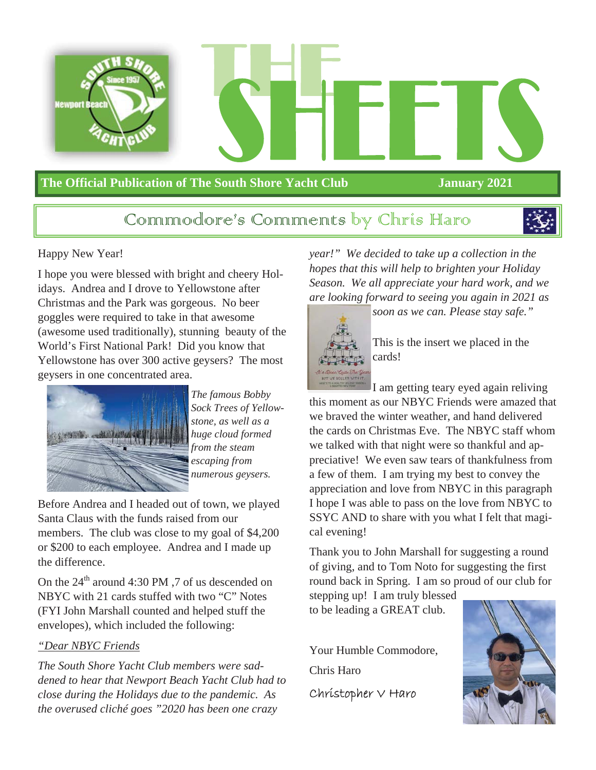

#### **The Official Publication of The South Shore Yacht Club January 2021**

#### Communiodore's Communicats by Chris Haro



#### Happy New Year!

I hope you were blessed with bright and cheery Holidays. Andrea and I drove to Yellowstone after Christmas and the Park was gorgeous. No beer goggles were required to take in that awesome (awesome used traditionally), stunning beauty of the World's First National Park! Did you know that Yellowstone has over 300 active geysers? The most geysers in one concentrated area.



*The famous Bobby Sock Trees of Yellowstone, as well as a huge cloud formed from the steam escaping from numerous geysers.* 

Before Andrea and I headed out of town, we played Santa Claus with the funds raised from our members. The club was close to my goal of \$4,200 or \$200 to each employee. Andrea and I made up the difference.

On the  $24<sup>th</sup>$  around 4:30 PM , 7 of us descended on NBYC with 21 cards stuffed with two "C" Notes (FYI John Marshall counted and helped stuff the envelopes), which included the following:

#### *"Dear NBYC Friends*

*The South Shore Yacht Club members were saddened to hear that Newport Beach Yacht Club had to close during the Holidays due to the pandemic. As the overused cliché goes "2020 has been one crazy* 

*year!" We decided to take up a collection in the hopes that this will help to brighten your Holiday Season. We all appreciate your hard work, and we are looking forward to seeing you again in 2021 as* 



This is the insert we placed in the cards!

*soon as we can. Please stay safe."* 

I am getting teary eyed again reliving this moment as our NBYC Friends were amazed that we braved the winter weather, and hand delivered the cards on Christmas Eve. The NBYC staff whom we talked with that night were so thankful and appreciative! We even saw tears of thankfulness from a few of them. I am trying my best to convey the appreciation and love from NBYC in this paragraph I hope I was able to pass on the love from NBYC to SSYC AND to share with you what I felt that magical evening!

Thank you to John Marshall for suggesting a round of giving, and to Tom Noto for suggesting the first round back in Spring. I am so proud of our club for

stepping up! I am truly blessed to be leading a GREAT club.

Your Humble Commodore,

Chris Haro

Christopher V Haro

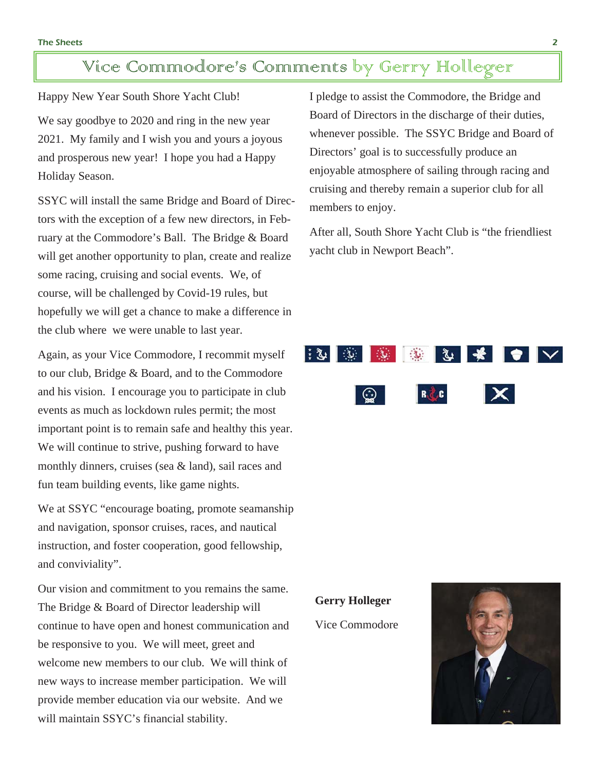### Vice Commodore's Comments by Gerry Holleger

Happy New Year South Shore Yacht Club!

We say goodbye to 2020 and ring in the new year 2021. My family and I wish you and yours a joyous and prosperous new year! I hope you had a Happy Holiday Season.

SSYC will install the same Bridge and Board of Directors with the exception of a few new directors, in February at the Commodore's Ball. The Bridge & Board will get another opportunity to plan, create and realize some racing, cruising and social events. We, of course, will be challenged by Covid-19 rules, but hopefully we will get a chance to make a difference in the club where we were unable to last year.

Again, as your Vice Commodore, I recommit myself to our club, Bridge & Board, and to the Commodore and his vision. I encourage you to participate in club events as much as lockdown rules permit; the most important point is to remain safe and healthy this year. We will continue to strive, pushing forward to have monthly dinners, cruises (sea & land), sail races and fun team building events, like game nights.

We at SSYC "encourage boating, promote seamanship and navigation, sponsor cruises, races, and nautical instruction, and foster cooperation, good fellowship, and conviviality".

Our vision and commitment to you remains the same. The Bridge & Board of Director leadership will continue to have open and honest communication and be responsive to you. We will meet, greet and welcome new members to our club. We will think of new ways to increase member participation. We will provide member education via our website. And we will maintain SSYC's financial stability.

I pledge to assist the Commodore, the Bridge and Board of Directors in the discharge of their duties, whenever possible. The SSYC Bridge and Board of Directors' goal is to successfully produce an enjoyable atmosphere of sailing through racing and cruising and thereby remain a superior club for all members to enjoy.

After all, South Shore Yacht Club is "the friendliest yacht club in Newport Beach".

## **第1章 | ※ | ※ | ※ | \* | ● | ▽** | ⊙  $R \times C$

**Gerry Holleger**

Vice Commodore

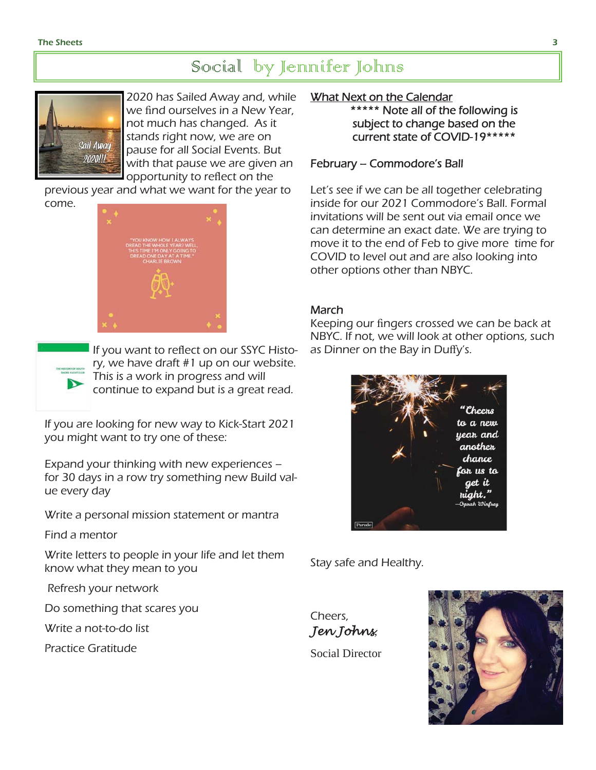### Social by Jennifer Johns



2020 has Sailed Away and, while we find ourselves in a New Year, not much has changed. As it stands right now, we are on pause for all Social Events. But with that pause we are given an opportunity to reflect on the

previous year and what we want for the year to come.





If you want to reflect on our SSYC History, we have draft #1 up on our website. This is a work in progress and will continue to expand but is a great read.

If you are looking for new way to Kick-Start 2021 you might want to try one of these:

Expand your thinking with new experiences – for 30 days in a row try something new Build value every day

Write a personal mission statement or mantra

Find a mentor

Write letters to people in your life and let them know what they mean to you

Refresh your network

Do something that scares you

Write a not-to-do list

Practice Gratitude

#### What Next on the Calendar

\*\*\*\*\* Note all of the following is subject to change based on the current state of COVID-19\*\*\*\*\*

#### February – Commodore's Ball

Let's see if we can be all together celebrating inside for our 2021 Commodore's Ball. Formal invitations will be sent out via email once we can determine an exact date. We are trying to move it to the end of Feb to give more time for COVID to level out and are also looking into other options other than NBYC.

#### March

Keeping our fingers crossed we can be back at NBYC. If not, we will look at other options, such as Dinner on the Bay in Duffy's.



Stay safe and Healthy.



Social Director

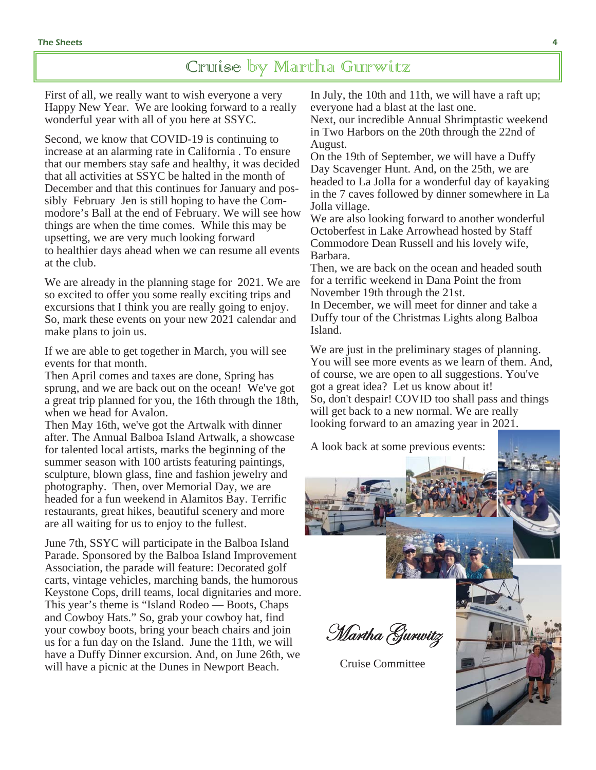#### Cruise by Martha Gurwitz

First of all, we really want to wish everyone a very Happy New Year. We are looking forward to a really wonderful year with all of you here at SSYC.

Second, we know that COVID-19 is continuing to increase at an alarming rate in California . To ensure that our members stay safe and healthy, it was decided that all activities at SSYC be halted in the month of December and that this continues for January and possibly February Jen is still hoping to have the Commodore's Ball at the end of February. We will see how things are when the time comes. While this may be upsetting, we are very much looking forward to healthier days ahead when we can resume all events at the club.

We are already in the planning stage for 2021. We are so excited to offer you some really exciting trips and excursions that I think you are really going to enjoy. So, mark these events on your new 2021 calendar and make plans to join us.

If we are able to get together in March, you will see events for that month.

Then April comes and taxes are done, Spring has sprung, and we are back out on the ocean! We've got a great trip planned for you, the 16th through the 18th, when we head for Avalon.

Then May 16th, we've got the Artwalk with dinner after. The Annual Balboa Island Artwalk, a showcase for talented local artists, marks the beginning of the summer season with 100 artists featuring paintings, sculpture, blown glass, fine and fashion jewelry and photography. Then, over Memorial Day, we are headed for a fun weekend in Alamitos Bay. Terrific restaurants, great hikes, beautiful scenery and more are all waiting for us to enjoy to the fullest.

June 7th, SSYC will participate in the Balboa Island Parade. Sponsored by the Balboa Island Improvement Association, the parade will feature: Decorated golf carts, vintage vehicles, marching bands, the humorous Keystone Cops, drill teams, local dignitaries and more. This year's theme is "Island Rodeo — Boots, Chaps and Cowboy Hats." So, grab your cowboy hat, find your cowboy boots, bring your beach chairs and join us for a fun day on the Island. June the 11th, we will have a Duffy Dinner excursion. And, on June 26th, we will have a picnic at the Dunes in Newport Beach.

In July, the 10th and 11th, we will have a raft up; everyone had a blast at the last one.

Next, our incredible Annual Shrimptastic weekend in Two Harbors on the 20th through the 22nd of August.

On the 19th of September, we will have a Duffy Day Scavenger Hunt. And, on the 25th, we are headed to La Jolla for a wonderful day of kayaking in the 7 caves followed by dinner somewhere in La Jolla village.

We are also looking forward to another wonderful Octoberfest in Lake Arrowhead hosted by Staff Commodore Dean Russell and his lovely wife, Barbara.

Then, we are back on the ocean and headed south for a terrific weekend in Dana Point the from November 19th through the 21st.

In December, we will meet for dinner and take a Duffy tour of the Christmas Lights along Balboa Island.

We are just in the preliminary stages of planning. You will see more events as we learn of them. And, of course, we are open to all suggestions. You've got a great idea? Let us know about it! So, don't despair! COVID too shall pass and things will get back to a new normal. We are really looking forward to an amazing year in 2021.

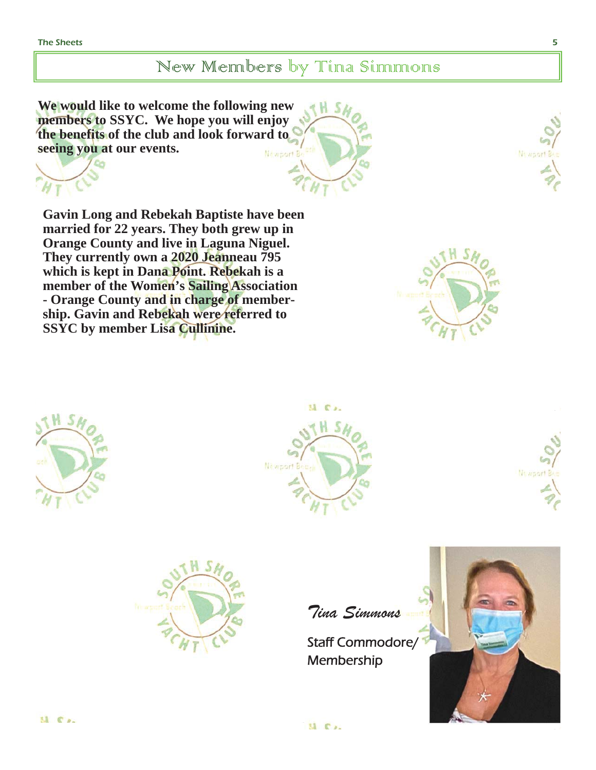#### New Members by Tina Simmons

**We would like to welcome the following new members to SSYC. We hope you will enjoy the benefits of the club and look forward to seeing you at our events.**  Newport B

**Gavin Long and Rebekah Baptiste have been married for 22 years. They both grew up in Orange County and live in Laguna Niguel. They currently own a 2020 Jeanneau 795 which is kept in Dana Point. Rebekah is a member of the Women's Sailing Association - Orange County and in charge of membership. Gavin and Rebekah were referred to SSYC by member Lisa Cullinine.**











Tina Simmons

Staff Commodore/ Membership



Ni apor

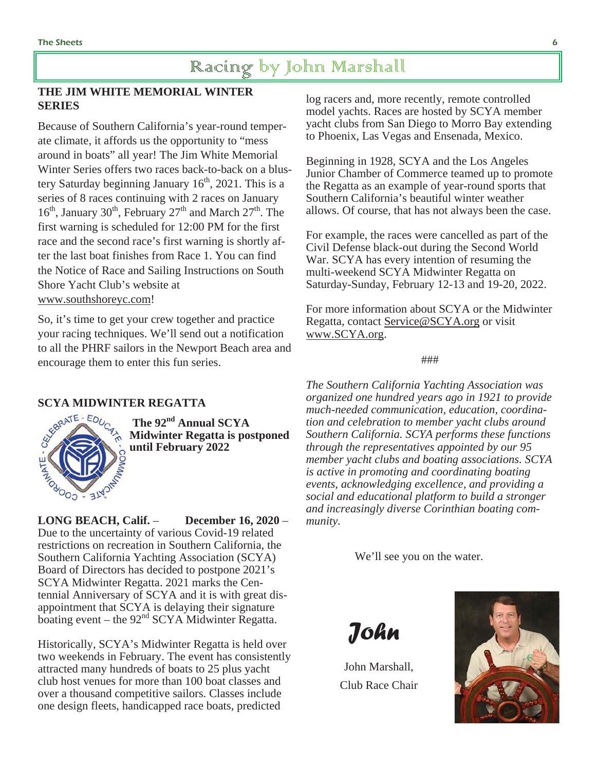#### Racing by John Marshall

#### **THE JIM WHITE MEMORIAL WINTER SERIES**

Because of Southern California's year-round temperate climate, it affords us the opportunity to "mess around in boats" all year! The Jim White Memorial Winter Series offers two races back-to-back on a blustery Saturday beginning January  $16<sup>th</sup>$ , 2021. This is a series of 8 races continuing with 2 races on January  $16<sup>th</sup>$ , January  $30<sup>th</sup>$ , February  $27<sup>th</sup>$  and March  $27<sup>th</sup>$ . The first warning is scheduled for 12:00 PM for the first race and the second race's first warning is shortly after the last boat finishes from Race 1. You can find the Notice of Race and Sailing Instructions on South Shore Yacht Club's website at www.southshoreyc.com!

So, it's time to get your crew together and practice your racing techniques. We'll send out a notification to all the PHRF sailors in the Newport Beach area and encourage them to enter this fun series.



 **The 92nd Annual SCYA Midwinter Regatta is postponed until February 2022** 

**LONG BEACH, Calif.** – **December 16, 2020** – Due to the uncertainty of various Covid-19 related restrictions on recreation in Southern California, the Southern California Yachting Association (SCYA) Board of Directors has decided to postpone 2021's SCYA Midwinter Regatta. 2021 marks the Centennial Anniversary of SCYA and it is with great disappointment that SCYA is delaying their signature boating event – the  $92<sup>nd</sup>$  SCYA Midwinter Regatta.

Historically, SCYA's Midwinter Regatta is held over two weekends in February. The event has consistently attracted many hundreds of boats to 25 plus yacht club host venues for more than 100 boat classes and over a thousand competitive sailors. Classes include one design fleets, handicapped race boats, predicted

log racers and, more recently, remote controlled model yachts. Races are hosted by SCYA member yacht clubs from San Diego to Morro Bay extending to Phoenix, Las Vegas and Ensenada, Mexico.

Beginning in 1928, SCYA and the Los Angeles Junior Chamber of Commerce teamed up to promote the Regatta as an example of year-round sports that Southern California's beautiful winter weather allows. Of course, that has not always been the case.

For example, the races were cancelled as part of the Civil Defense black-out during the Second World War. SCYA has every intention of resuming the multi-weekend SCYA Midwinter Regatta on Saturday-Sunday, February 12-13 and 19-20, 2022.

For more information about SCYA or the Midwinter Regatta, contact Service@SCYA.org or visit www.SCYA.org.

#### ###

*The Southern California Yachting Association was organized one hundred years ago in 1921 to provide much-needed communication, education, coordination and celebration to member yacht clubs around Southern California. SCYA performs these functions through the representatives appointed by our 95 member yacht clubs and boating associations. SCYA is active in promoting and coordinating boating events, acknowledging excellence, and providing a social and educational platform to build a stronger and increasingly diverse Corinthian boating community.* 

We'll see you on the water.



John Marshall, Club Race Chair

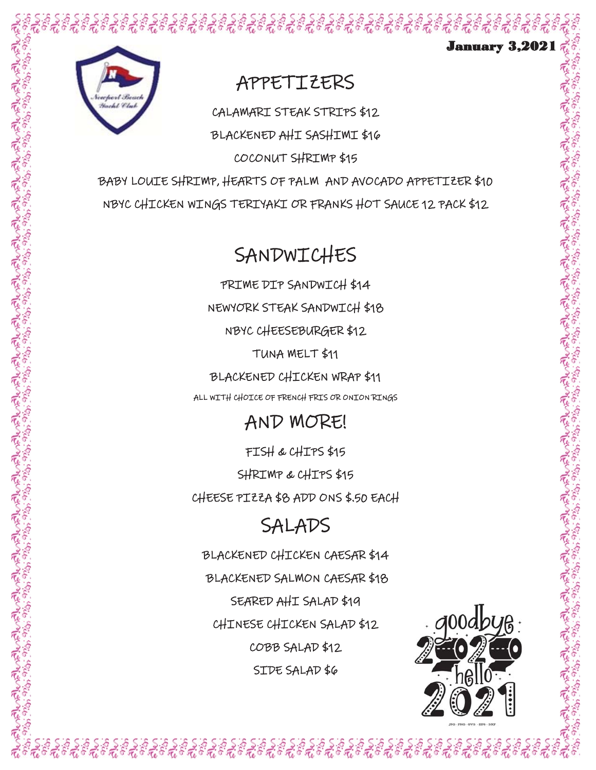

## **APPETIZERS**

CALAMARI STEAK STRIPS \$12

BLACKENED AHI SASHIMI \$16 COCONUT SHRIMP \$15

BABY LOUIE SHRIMP, HEARTS OF PALM AND AVOCADO APPETIZER \$10 NBYC CHICKEN WINGS TERIYAKI OR FRANKS HOT SAUCE 12 PACK \$12

# **SANDWICHES**

PRIME DIP SANDWICH \$14 NEWYORK STEAK SANDWICH \$18 NBYC CHEESEBURGER \$12 TUNA MELT \$11 BLACKENED CHICKEN WRAP \$11 ALL WITH CHOICE OF FRENCH FRIS OR ONION RINGS

## AND MORE!

FISH & CHIPS \$15

SHRIMP & CHIPS \$15 CHEESE PIZZA \$8 ADD ONS \$.50 EACH

# SALADS

BLACKENED CHICKEN CAESAR \$14 BLACKENED SALMON CAESAR \$18 SEARED AHI SALAD \$19 CHINESE CHICKEN SALAD \$12 COBB SALAD \$12 SIDE SALAD \$6



January 3,2021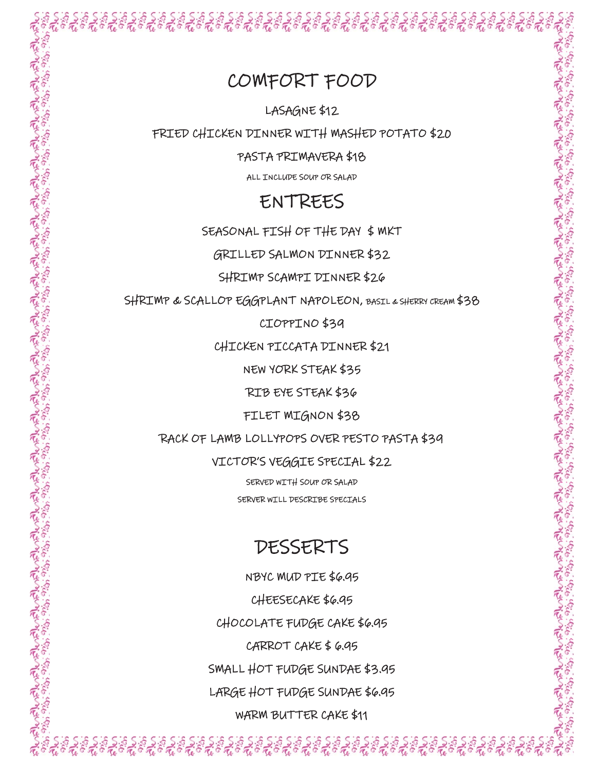#### COMFORT FOOD

LASAGNE \$12

FRIED CHICKEN DINNER WITH MASHED POTATO \$20

PASTA PRIMAVERA \$18

ALL INCLUDE SOUP OR SALAD

#### ENTREES

SEASONAL FISH OF THE DAY \$ MKT

GRILLED SALMON DINNER \$32

SHRIMP SCAMPI DINNER \$26

SHRIMP & SCALLOP EGGPLANT NAPOLEON, BASIL & SHERRY CREAM \$38

CIOPPINO \$39

CHICKEN PICCATA DINNER \$21

NEW YORK STEAK \$35

RIB EYE STEAK \$36

FILET MIGNON \$38

RACK OF LAMB LOLLYPOPS OVER PESTO PASTA \$39

VICTOR'S VEGGIE SPECIAL \$22

SERVED WITH SOUP OR SALAD SERVER WILL DESCRIBE SPECIALS

## DESSERTS

NBYC MUD PIE \$6.95 CHEESECAKE \$6.95 CHOCOLATE FUDGE CAKE \$6.95 CARROT CAKE  $$6.95$ SMALL HOT FUDGE SUNDAE \$3.95 LARGE HOT FUDGE SUNDAE \$6.95 WARM BUTTER CAKE \$11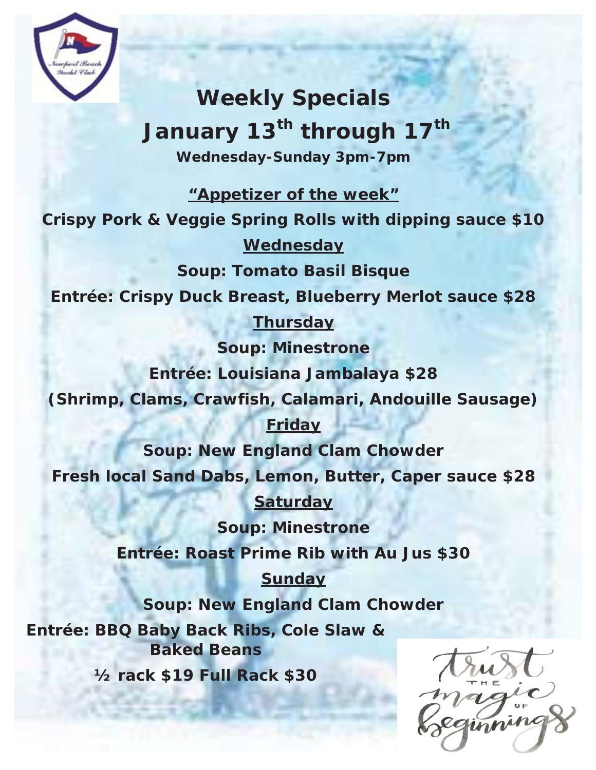![](_page_8_Picture_0.jpeg)

**Weekly Specials**  January 13<sup>th</sup> through 17<sup>th</sup> **Wednesday-Sunday 3pm-7pm** 

**"Appetizer of the week"**

**Crispy Pork & Veggie Spring Rolls with dipping sauce \$10 Wednesday** 

**Soup: Tomato Basil Bisque** 

**Entrée: Crispy Duck Breast, Blueberry Merlot sauce \$28** 

**Thursday** 

**Soup: Minestrone** 

**Entrée: Louisiana Jambalaya \$28** 

**(Shrimp, Clams, Crawfish, Calamari, Andouille Sausage)** 

#### **Friday**

**Soup: New England Clam Chowder** 

**Fresh local Sand Dabs, Lemon, Butter, Caper sauce \$28** 

**Saturday** 

**Soup: Minestrone** 

**Entrée: Roast Prime Rib with Au Jus \$30** 

**Sunday** 

**Soup: New England Clam Chowder** 

**Entrée: BBQ Baby Back Ribs, Cole Slaw & Baked Beans** 

**½ rack \$19 Full Rack \$30**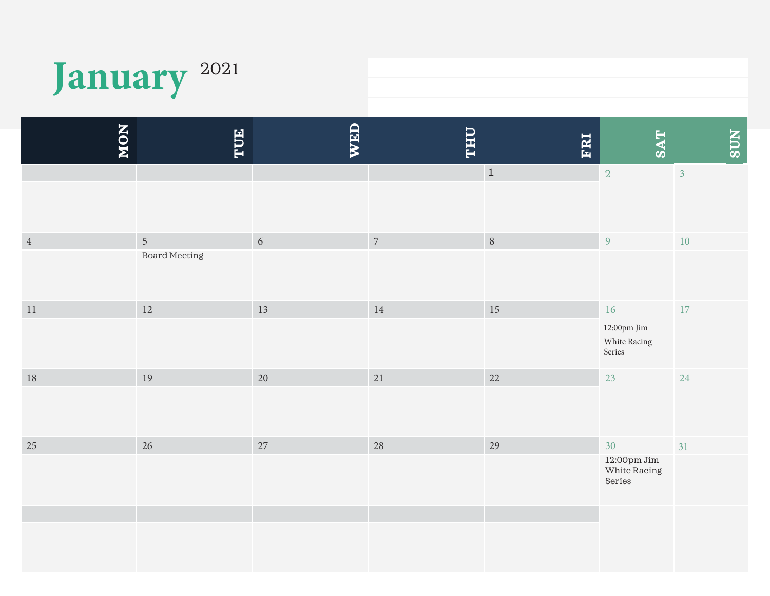|        | January <sup>2021</sup>     |        |            |            |                                                                                 |                |
|--------|-----------------------------|--------|------------|------------|---------------------------------------------------------------------------------|----------------|
| NON    | TUE                         | WED    | <b>THU</b> | <b>FRI</b> | <b>SAT</b>                                                                      | <b>SUN</b>     |
|        |                             |        |            | $\,$ 1     | $\,2$                                                                           | $\overline{3}$ |
| $\,4$  | $\sqrt{5}$<br>Board Meeting | 6      | $\sqrt{ }$ | $\, 8$     | $\overline{9}$                                                                  | 10             |
| 11     | 12                          | 13     | 14         | 15         | 16<br>$12\mathord{:}00\mathrm{pm}$ Jim<br>White Racing<br>Series                | 17             |
| $18\,$ | 19                          | $20\,$ | $21\,$     | 22         | 23                                                                              | 24             |
| 25     | 26                          | $27\,$ | 28         | 29         | $30\,$<br>$12\mathord{:}\mathrm{OOpm}\, \mathrm{Jim}$<br>White Racing<br>Series | 31             |
|        |                             |        |            |            |                                                                                 |                |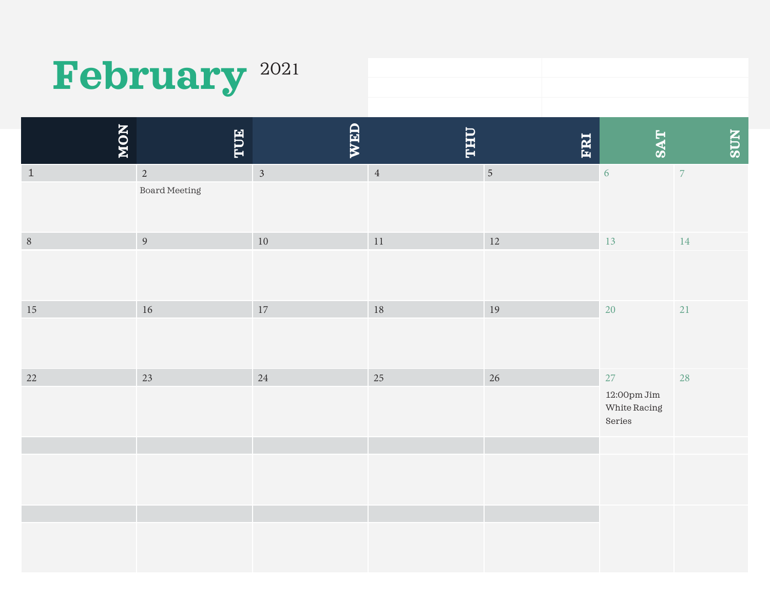# February<sup>2021</sup>

| NON     | TUE                  | <b>WED</b>     | <b>LHL</b> | FRI            | <b>SAT</b>                                                            | <b>SUN</b>     |
|---------|----------------------|----------------|------------|----------------|-----------------------------------------------------------------------|----------------|
| $\,1\,$ | $\overline{2}$       | $\overline{3}$ | $\sqrt{4}$ | $\overline{5}$ | $\overline{6}$                                                        | $\overline{7}$ |
|         | <b>Board Meeting</b> |                |            |                |                                                                       |                |
| $\, 8$  | 9                    | $10\,$         | $11\,$     | $12\,$         | 13                                                                    | 14             |
|         |                      |                |            |                |                                                                       |                |
| 15      | $16\,$               | 17             | $18\,$     | 19             | 20                                                                    | 21             |
|         |                      |                |            |                |                                                                       |                |
| 22      | 23                   | 24             | 25         | 26             | 27                                                                    | 28             |
|         |                      |                |            |                | $12\mathord{:}\mathrm{OOpm}\, \mathrm{Jim}$<br>White Racing<br>Series |                |
|         |                      |                |            |                |                                                                       |                |
|         |                      |                |            |                |                                                                       |                |
|         |                      |                |            |                |                                                                       |                |
|         |                      |                |            |                |                                                                       |                |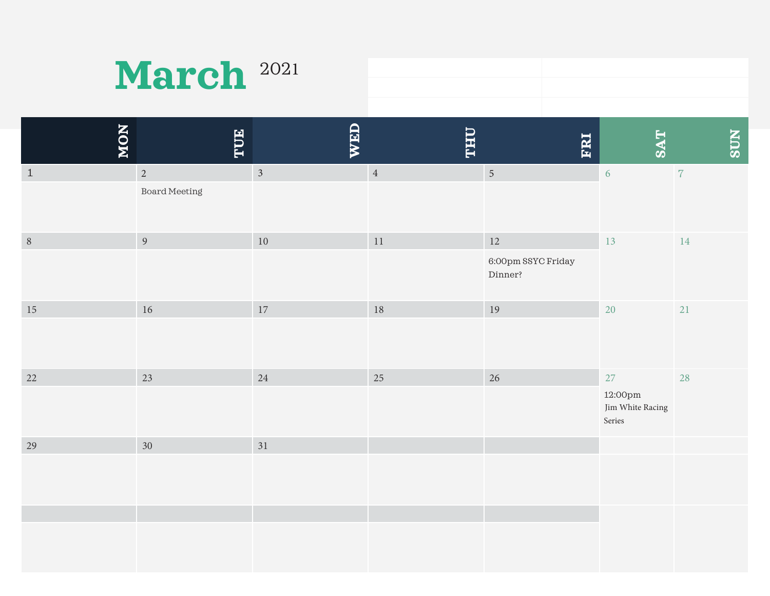| March <sup>2021</sup> |  |
|-----------------------|--|
|-----------------------|--|

| NON     | TUE                  | <b>WED</b>     | <b>LHL</b>     | FRI                           | <b>SAT</b>                            | <b>NLOS</b> |
|---------|----------------------|----------------|----------------|-------------------------------|---------------------------------------|-------------|
| $\,1\,$ | $\overline{2}$       | $\overline{3}$ | $\overline{4}$ | $\sqrt{5}$                    | $\overline{6}$                        | $\,7$       |
|         | <b>Board Meeting</b> |                |                |                               |                                       |             |
| $8\,$   | $\overline{9}$       | $10\,$         | 11             | 12                            | $13\,$                                | $14\,$      |
|         |                      |                |                | 6:00pm SSYC Friday<br>Dinner? |                                       |             |
| $15\,$  | $16\,$               | $17\,$         | $18\,$         | 19                            | 20                                    | $21\,$      |
|         |                      |                |                |                               |                                       |             |
| 22      | 23                   | 24             | 25             | 26                            | 27                                    | 28          |
|         |                      |                |                |                               | 12:00pm<br>Jim White Racing<br>Series |             |
| 29      | $30\,$               | 31             |                |                               |                                       |             |
|         |                      |                |                |                               |                                       |             |
|         |                      |                |                |                               |                                       |             |
|         |                      |                |                |                               |                                       |             |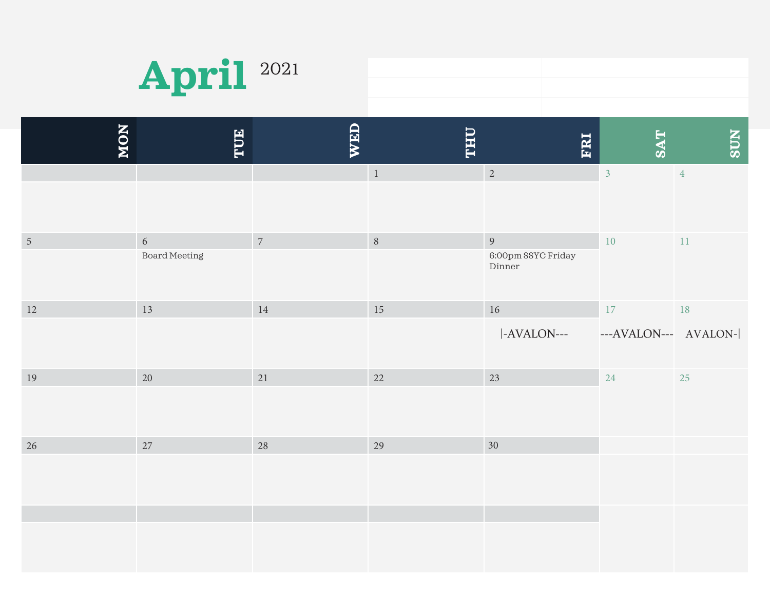![](_page_12_Picture_0.jpeg)

| 2021 |  |
|------|--|
|      |  |
|      |  |

| NON            | EUE                    | WED            | <b>OHL</b>     | ERI                                                                    | <b>SAT</b>                     | <b>SUN</b>     |
|----------------|------------------------|----------------|----------------|------------------------------------------------------------------------|--------------------------------|----------------|
|                |                        |                | $\,$ 1 $\,$    | $\overline{2}$                                                         | $\overline{3}$                 | $\overline{4}$ |
| $\overline{5}$ | $6\,$<br>Board Meeting | $\overline{7}$ | $8\phantom{.}$ | $\overline{9}$<br>$6\:\!\!.00 \text{pm}\:\text{SSYC Friday}$<br>Dinner | $10\,$                         | $11\,$         |
| 12             | 13                     | $14\,$         | 15             | $16\,$<br> -AVALON---                                                  | $17\,$<br>---AVALON--- AVALON- | 18             |
| $19\,$         | 20                     | 21             | 22             | 23                                                                     | 24                             | 25             |
| $26\,$         | 27                     | $28\,$         | 29             | 30 <sup>°</sup>                                                        |                                |                |
|                |                        |                |                |                                                                        |                                |                |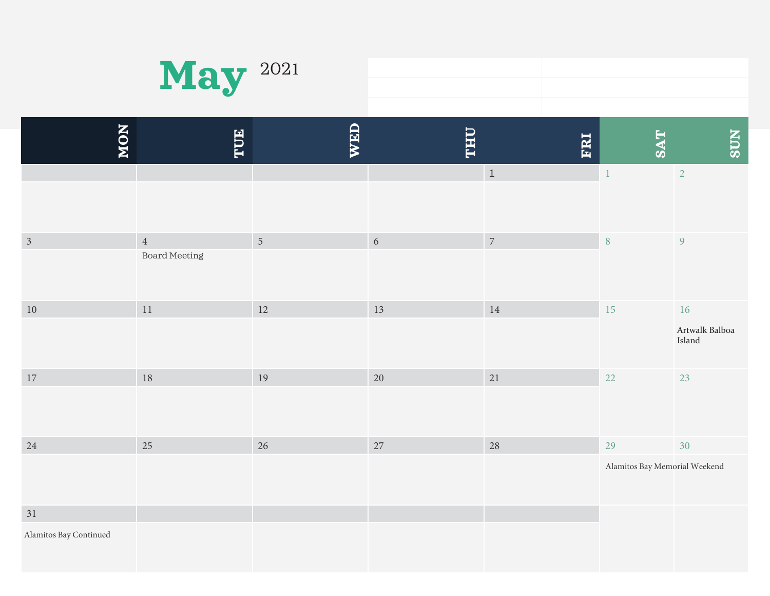| $\mathbf{May}$ $^{2021}$ |  |
|--------------------------|--|
|                          |  |
|                          |  |

| NON                              | TUE                             | <b>WED</b>     | <b>LHL</b> | <b>ERI</b> | <b>SAT</b>                          | <b>NDS</b>                         |
|----------------------------------|---------------------------------|----------------|------------|------------|-------------------------------------|------------------------------------|
|                                  |                                 |                |            | $\,$ 1     | $\,1\,$                             | $\overline{2}$                     |
| $\mathfrak{Z}$                   | $\overline{4}$<br>Board Meeting | $\overline{5}$ | $\sqrt{6}$ | $\sqrt{7}$ | $\, 8$                              | $\overline{9}$                     |
| $10\,$                           | $11\,$                          | $12\,$         | 13         | $14\,$     | 15                                  | $16\,$<br>Artwalk Balboa<br>Island |
| $17\,$                           | 18                              | 19             | 20         | $21\,$     | $22\,$                              | 23                                 |
| 24                               | 25                              | 26             | 27         | 28         | 29<br>Alamitos Bay Memorial Weekend | 30                                 |
| $31\,$<br>Alamitos Bay Continued |                                 |                |            |            |                                     |                                    |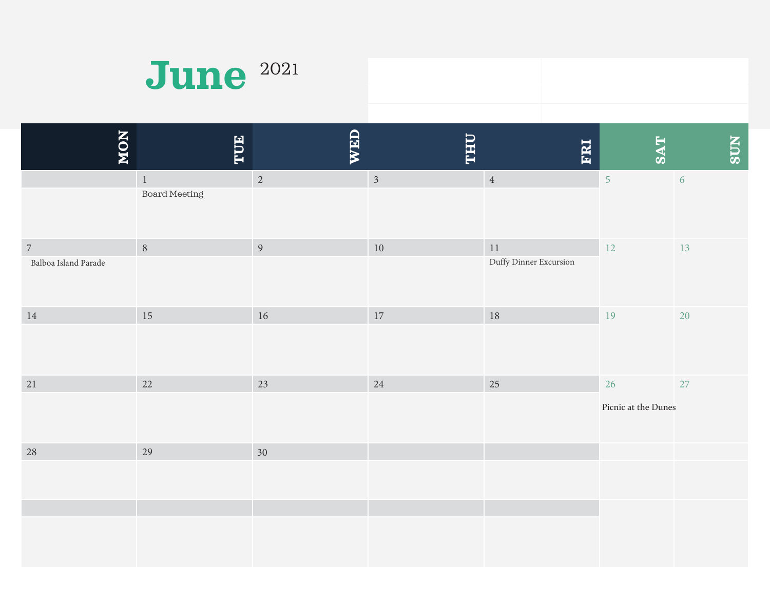| <b>June</b> 2021 |  |
|------------------|--|
|                  |  |

| NON                                    | TUE                          | WED             | <b><i><u><b>OHLL</b></u></i></b> | ERI                              | <b>SAT</b>                | <b>NDS</b> |
|----------------------------------------|------------------------------|-----------------|----------------------------------|----------------------------------|---------------------------|------------|
|                                        | $\,$ 1 $\,$<br>Board Meeting | $\overline{2}$  | $\overline{3}$                   | $\sqrt{4}$                       | $\overline{5}$            | $\sqrt{6}$ |
| $\overline{7}$<br>Balboa Island Parade | $\,8\,$                      | $\overline{9}$  | $10\,$                           | $11\,$<br>Duffy Dinner Excursion | $12\,$                    | 13         |
| $14\,$                                 | 15                           | 16              | 17                               | $18\,$                           | 19                        | 20         |
| $21\,$                                 | 22                           | 23              | 24                               | 25                               | 26<br>Picnic at the Dunes | 27         |
| 28                                     | 29                           | 30 <sup>°</sup> |                                  |                                  |                           |            |
|                                        |                              |                 |                                  |                                  |                           |            |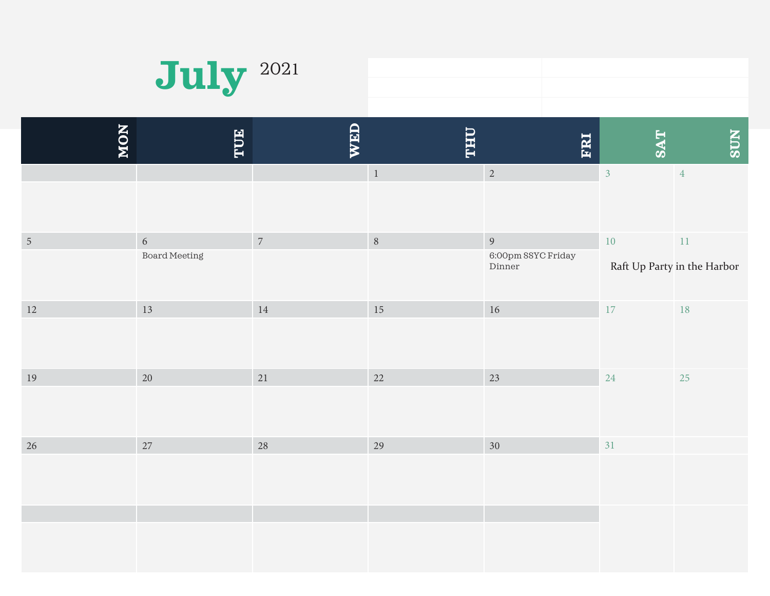![](_page_15_Picture_0.jpeg)

| 2021 |  |
|------|--|
|      |  |
|      |  |

| NON            | TUE           | WED            | <b><i><u><b>OHL</b></u></i></b> | FRI                          | <b>TAS</b>              | <b>NDS</b>                            |
|----------------|---------------|----------------|---------------------------------|------------------------------|-------------------------|---------------------------------------|
|                |               |                | $\,$ 1 $\,$                     | $\overline{2}$               | $\overline{\mathbf{3}}$ | $\overline{4}$                        |
|                | $\sqrt{6}$    | $\overline{7}$ | $8\,$                           | $\overline{9}$               |                         |                                       |
| $\overline{5}$ | Board Meeting |                |                                 | 6:00pm SSYC Friday<br>Dinner | $10\,$                  | $11\,$<br>Raft Up Party in the Harbor |
| 12             | 13            | $14\,$         | 15                              | 16                           | 17                      | 18                                    |
| $19\,$         | $20\,$        | $21\,$         | 22                              | 23                           | 24                      | 25                                    |
| 26             | 27            | $28\,$         | 29                              | 30 <sup>°</sup>              | 31                      |                                       |
|                |               |                |                                 |                              |                         |                                       |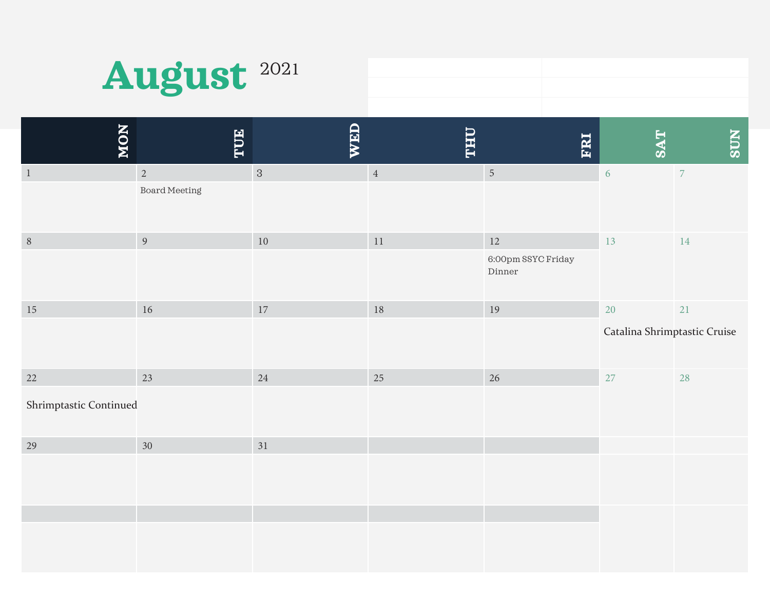| August <sup>2021</sup> |  |
|------------------------|--|
|------------------------|--|

| NON                    | FUE            | WED            | <b><i><u><b>OHLL</b></u></i></b> | FRI                          | <b>SAT</b>                   | <b>NLOS</b>    |
|------------------------|----------------|----------------|----------------------------------|------------------------------|------------------------------|----------------|
| $\mathbf{1}$           | $\overline{2}$ | $\overline{3}$ | $\sqrt{4}$                       | $\overline{5}$               | $\sqrt{6}$                   | $\overline{7}$ |
|                        | Board Meeting  |                |                                  |                              |                              |                |
| $\sqrt{8}$             | $\overline{9}$ | $10\,$         | $11\,$                           | $12\,$                       | 13                           | $14\,$         |
|                        |                |                |                                  | 6:00pm SSYC Friday<br>Dinner |                              |                |
| 15                     | $16\,$         | $17\,$         | $18\,$                           | $19\,$                       | $20\,$                       | 21             |
|                        |                |                |                                  |                              | Catalina Shrimptastic Cruise |                |
| 22                     | 23             | 24             | 25                               | 26                           | 27                           | 28             |
| Shrimptastic Continued |                |                |                                  |                              |                              |                |
| 29                     | $30\,$         | 31             |                                  |                              |                              |                |
|                        |                |                |                                  |                              |                              |                |
|                        |                |                |                                  |                              |                              |                |
|                        |                |                |                                  |                              |                              |                |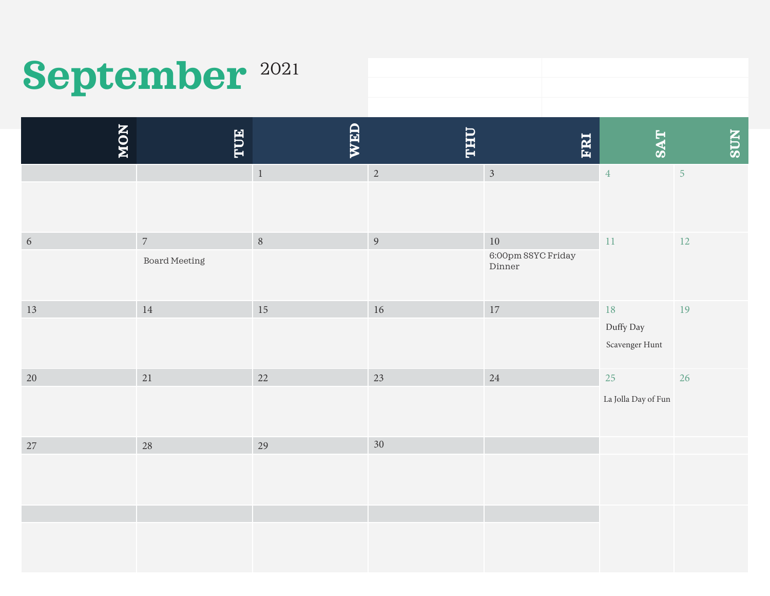# September<sup>2021</sup>

| NON             | TUE                                    | WED         | <b><i><u><b>OHL</b></u></i></b> | ERI                                    | <b>SAT</b>                        | <b>NDS</b>     |
|-----------------|----------------------------------------|-------------|---------------------------------|----------------------------------------|-----------------------------------|----------------|
|                 |                                        | $\,$ 1 $\,$ | $\overline{2}$                  | $\mathfrak{Z}$                         | $\overline{4}$                    | $\overline{5}$ |
| $6\phantom{.}6$ | $\overline{7}$<br><b>Board Meeting</b> | $\, 8$      | $\overline{9}$                  | $10\,$<br>6:00pm SSYC Friday<br>Dinner | $11\,$                            | 12             |
| 13              | 14                                     | 15          | $16\,$                          | 17                                     | 18<br>Duffy Day<br>Scavenger Hunt | 19             |
| $20\,$          | 21                                     | $22\,$      | 23                              | 24                                     | $25\,$<br>La Jolla Day of Fun     | 26             |
| $27\,$          | 28                                     | 29          | 30                              |                                        |                                   |                |
|                 |                                        |             |                                 |                                        |                                   |                |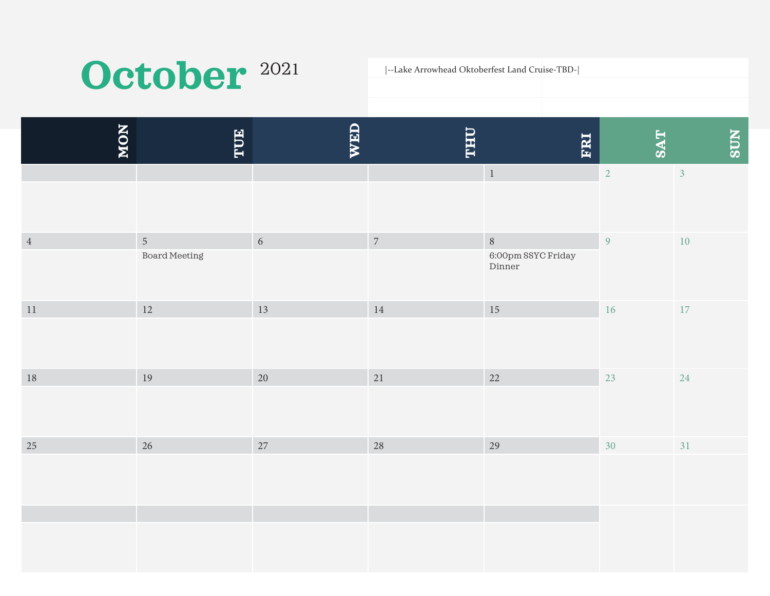# October<sup>2021</sup>

|--Lake Arrowhead Oktoberfest Land Cruise-TBD-|

| NON     | <b>HUE</b>                             | <b>WED</b> | <u>IAFIT</u>   | <b>FRI</b>                             | <b>SAT</b>     | <b>SUN</b>     |
|---------|----------------------------------------|------------|----------------|----------------------------------------|----------------|----------------|
|         |                                        |            |                | $\,1\,$                                | $\overline{2}$ | 3 <sup>1</sup> |
| $\,4\,$ | $\overline{5}$<br><b>Board Meeting</b> | 6          | $\overline{7}$ | $\, 8$<br>6:00pm SSYC Friday<br>Dinner | $\overline{9}$ | $10\,$         |
| $11\,$  | $12\,$                                 | $13\,$     | $14\,$         | $15\,$                                 | $16\,$         | 17             |
| $18\,$  | 19                                     | 20         | 21             | $22\,$                                 | 23             | 24             |
| 25      | 26                                     | 27         | 28             | 29                                     | 30             | 31             |
|         |                                        |            |                |                                        |                |                |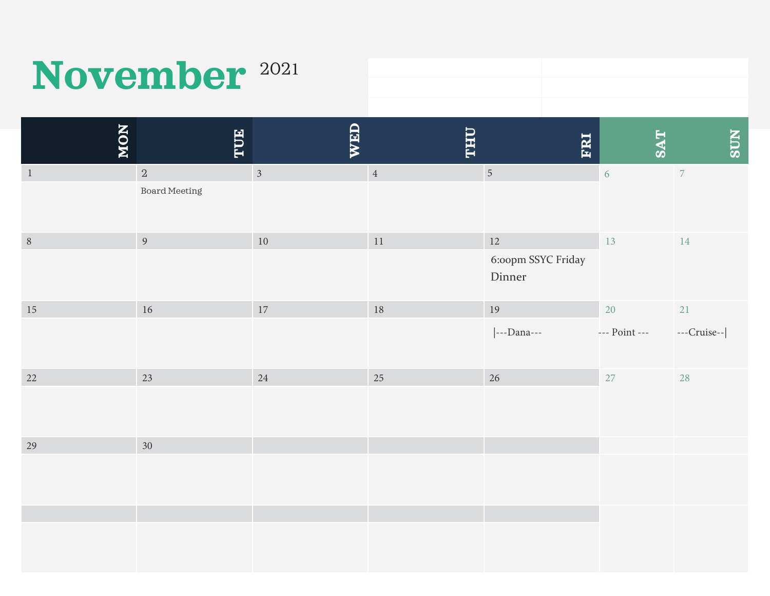# **November** <sup>202</sup>

| NON          | TUE             | WED            | <b><i><u><b>OHLL</b></u></i></b> | ERI                          | <b>TAS</b>    | <b>NDS</b>  |
|--------------|-----------------|----------------|----------------------------------|------------------------------|---------------|-------------|
| $\mathbf{1}$ | $\sqrt{2}$      | $\overline{3}$ | $\,4\,$                          | $\sqrt{5}$                   | 6             | $\bar{7}$   |
|              | Board Meeting   |                |                                  |                              |               |             |
| $\, 8$       | $\overline{9}$  | $10\,$         | $11\,$                           | 12                           | 13            | 14          |
|              |                 |                |                                  | 6:00pm SSYC Friday<br>Dinner |               |             |
| $15\,$       | $16\,$          | $17\,$         | $18\,$                           | 19                           | 20            | $21\,$      |
|              |                 |                |                                  | ---Dana---                   | --- Point --- | ---Cruise-- |
| 22           | 23              | 24             | 25                               | 26                           | $27\,$        | 28          |
|              |                 |                |                                  |                              |               |             |
| 29           | 30 <sup>°</sup> |                |                                  |                              |               |             |
|              |                 |                |                                  |                              |               |             |
|              |                 |                |                                  |                              |               |             |
|              |                 |                |                                  |                              |               |             |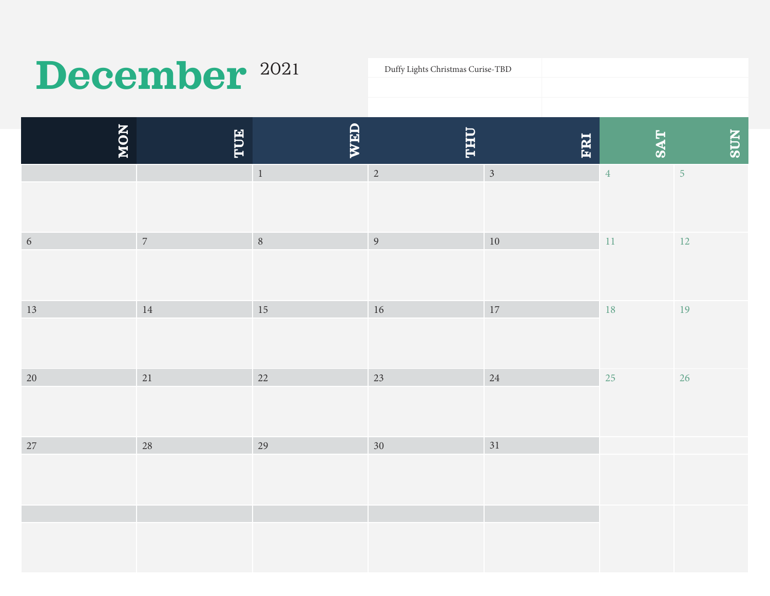# December <sup>2021</sup>

Duffy Lights Christmas Curise-TBD

| NON        | TUE            | WED            | <b>THU</b>      | FRI            | <b>SAT</b>     | <b>NDS</b>     |
|------------|----------------|----------------|-----------------|----------------|----------------|----------------|
|            |                | $\,$ 1 $\,$    | $\overline{2}$  | $\overline{3}$ | $\overline{4}$ | $\overline{5}$ |
| $\sqrt{6}$ | $\overline{7}$ | 8 <sup>8</sup> | $\overline{9}$  | $10\,$         | $11\,$         | <b>12</b>      |
| 13         | $14\,$         | $15\,$         | $16\,$          | $17\,$         | 18             | 19             |
| 20         | 21             | 22             | 23              | 24             | 25             | 26             |
| 27         | 28             | 29             | 30 <sup>°</sup> | 31             |                |                |
|            |                |                |                 |                |                |                |